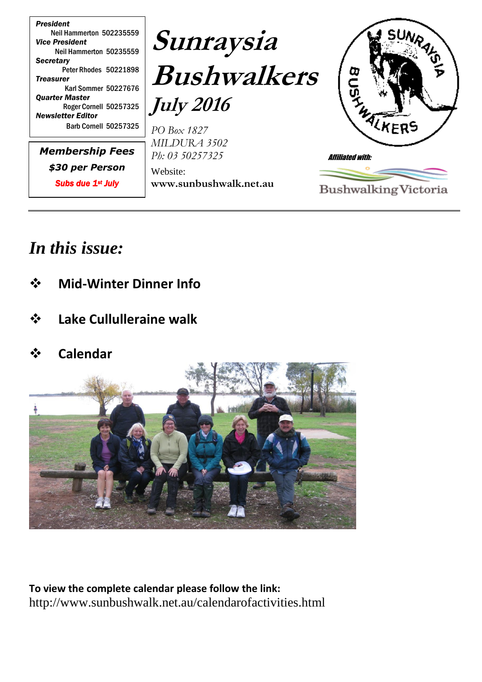

## *In this issue:*

- **Mid-Winter Dinner Info**
- **Lake Cullulleraine walk**
- **Calendar**



**To view the complete calendar please follow the link:** http://www.sunbushwalk.net.au/calendarofactivities.html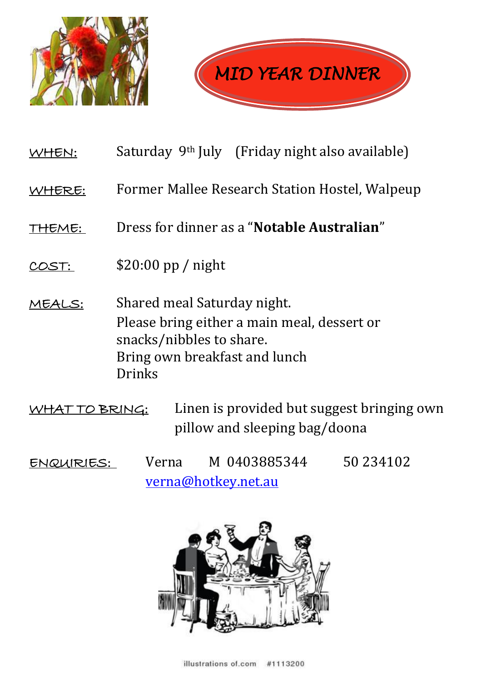



- WHEN: Saturday 9<sup>th</sup> July (Friday night also available)
- WHERE: Former Mallee Research Station Hostel, Walpeup
- THEME: Dress for dinner as a "**Notable Australian**"
- $\frac{\text{COST:}}{\text{COST:}}$  \$20:00 pp / night
- MEALS: Shared meal Saturday night. Please bring either a main meal, dessert or snacks/nibbles to share. Bring own breakfast and lunch Drinks
- WHAT TO BRING: Linen is provided but suggest bringing own pillow and sleeping bag/doona
- ENQUIRIES: Verna M 0403885344 50 234102 [verna@hotkey.net.au](mailto:verna@hotkey.net.au)

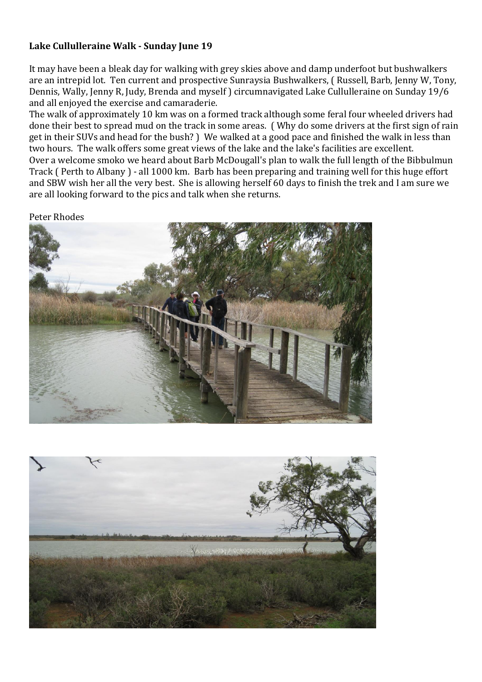## **Lake Cullulleraine Walk - Sunday June 19**

It may have been a bleak day for walking with grey skies above and damp underfoot but bushwalkers are an intrepid lot. Ten current and prospective Sunraysia Bushwalkers, ( Russell, Barb, Jenny W, Tony, Dennis, Wally, Jenny R, Judy, Brenda and myself ) circumnavigated Lake Cullulleraine on Sunday 19/6 and all enjoyed the exercise and camaraderie.

The walk of approximately 10 km was on a formed track although some feral four wheeled drivers had done their best to spread mud on the track in some areas. ( Why do some drivers at the first sign of rain get in their SUVs and head for the bush? ) We walked at a good pace and finished the walk in less than two hours. The walk offers some great views of the lake and the lake's facilities are excellent. Over a welcome smoko we heard about Barb McDougall's plan to walk the full length of the Bibbulmun Track ( Perth to Albany ) - all 1000 km. Barb has been preparing and training well for this huge effort and SBW wish her all the very best. She is allowing herself 60 days to finish the trek and I am sure we are all looking forward to the pics and talk when she returns.

Peter Rhodes